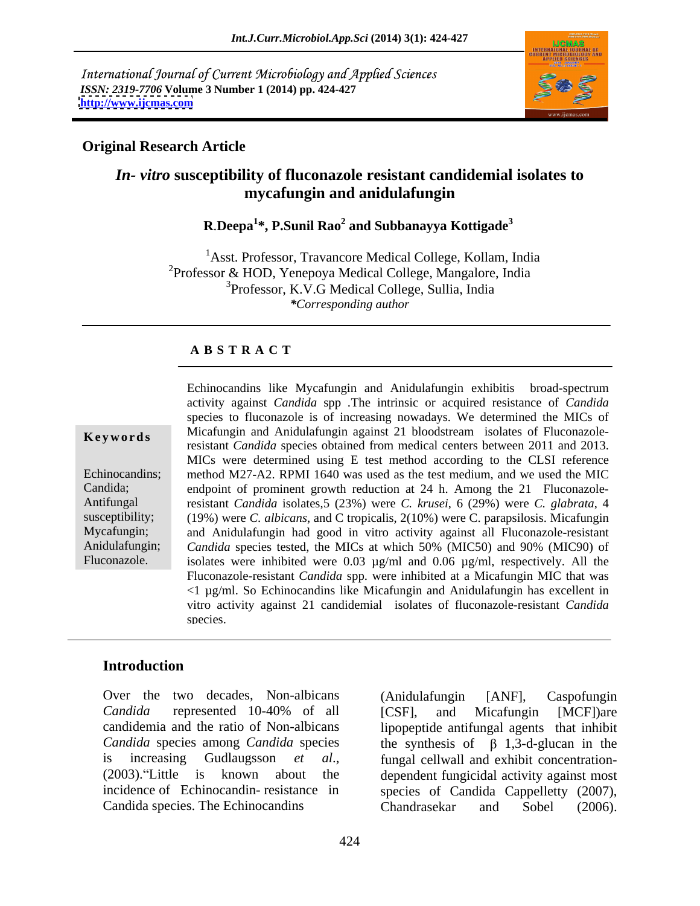International Journal of Current Microbiology and Applied Sciences *ISSN: 2319-7706* **Volume 3 Number 1 (2014) pp. 424-427 <http://www.ijcmas.com>**



## **Original Research Article**

# *In- vitro* **susceptibility of fluconazole resistant candidemial isolates to mycafungin and anidulafungin**

## **R**.**Deepa<sup>1</sup> \*, P.Sunil Rao<sup>2</sup> and Subbanayya Kottigade<sup>3</sup>**

<sup>1</sup>Asst. Professor, Travancore Medical College, Kollam, India <sup>2</sup>Professor & HOD, Yenepoya Medical College, Mangalore, India <sup>3</sup>Professor, K.V.G Medical College, Sullia, India *\*Corresponding author*

### **A B S T R A C T**

**Keywords** Micafungin and Anidulafungin against 21 bloodstream isolates of Fluconazole-Echinocandins; method M27-A2. RPMI 1640 was used as the test medium, and we used the MIC Candida; endpoint of prominent growth reduction at 24 h. Among the 21 Fluconazole-Antifungal resistant *Candida* isolates,5 (23%) were *C. krusei*, 6 (29%) were *C. glabrata*, 4 susceptibility; (19%) were *C. albicans*, and C tropicalis, 2(10%) were C. parapsilosis. Micafungin Mycafungin; and Anidulafungin had good in vitro activity against all Fluconazole-resistant Anidulafungin; *Candida* species tested, the MICs at which 50% (MIC50) and 90% (MIC90) of Fluconazole. isolates were inhibited were 0.03 µg/ml and 0.06 µg/ml, respectively. All the Echinocandins like Mycafungin and Anidulafungin exhibitis broad-spectrum activity against *Candida* spp *.*The intrinsic or acquired resistance of *Candida* species to fluconazole is of increasing nowadays. We determined the MICs of resistant *Candida* species obtained from medical centers between 2011 and 2013. MICs were determined using E test method according to the CLSI reference Fluconazole-resistant *Candida* spp. were inhibited at a Micafungin MIC that was  $\leq 1$  µg/ml. So Echinocandins like Micafungin and Anidulafungin has excellent in vitro activity against 21 candidemial isolates of fluconazole-resistant *Candida* species.

## **Introduction**

*Candida* represented 10-40% of all candidemia and the ratio of Non-albicans lipopeptide antifungal agents that inhibit *Candida* species among *Candida* species the synthesis of  $\beta$  1,3-d-glucan in the is increasing Gudlaugsson *et al*., fungal cellwall and exhibit concentration- (2003). Little is known about the dependent fungicidal activity against most incidence of Echinocandin- resistance in species of Candida Cappelletty (2007), Candida species. The Echinocandins Chandrasekar and Sobel (2006).

Over the two decades, Non-albicans (Anidulafungin [ANF], Caspofungin (Anidulafungin [ANF], Caspofungin [CSF], and Micafungin [MCF])are Chandrasekar and Sobel (2006).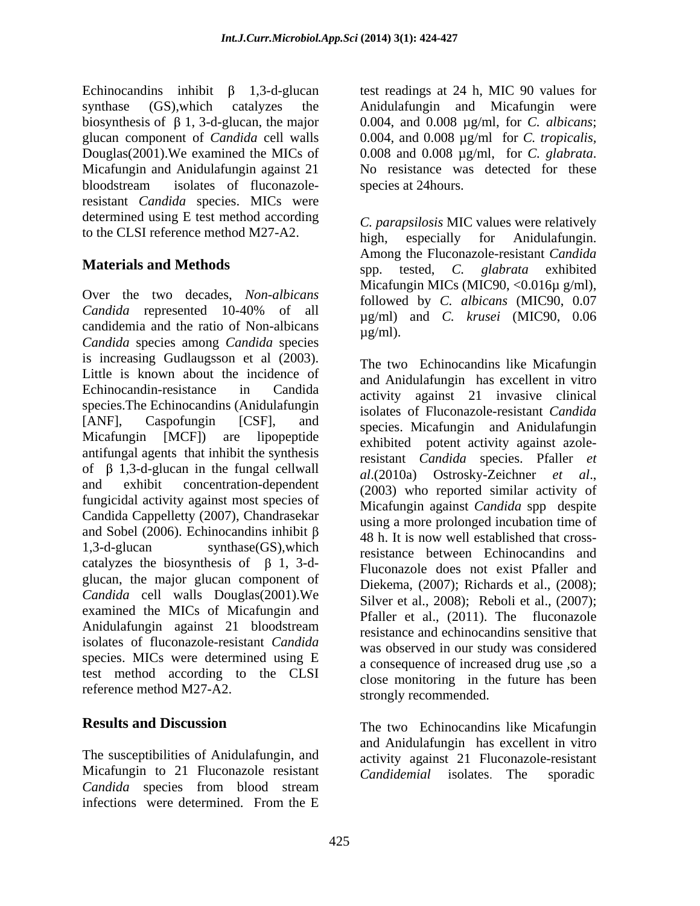Douglas(2001). We examined the MICs of 0.008 and 0.008  $\mu$ g/ml, for C. glabrata. Micafungin and Anidulafungin against 21 No resistance was detected for these bloodstream isolates of fluconazole- species at 24 hours. bloodstream isolates of fluconazole- species at 24 hours. resistant *Candida* species. MICs were determined using E test method according

Over the two decades, *Non-albicans Candida* represented 10-40% of all candidemia and the ratio of Non-albicans  $\mu$ g/ml). *Candida* species among *Candida* species is increasing Gudlaugsson et al (2003). Little is known about the incidence of Echinocandin-resistance in Candida activity against 21 invasive clinical species.The Echinocandins (Anidulafungin [ANF], Caspofungin [CSF], and species. Micafungin and Anidulafungin Micafungin [MCF]) are lipopeptide exhibited potent activity against azoleantifungal agents that inhibit the synthesis of  $\beta$  1,3-d-glucan in the fungal cellwall<br>al. (2010a) Ostrosky-Zeichner et al., and exhibit concentration-dependent  $(2003)$  who reported similar activity of fungicidal activity against most species of Candida Cappelletty (2007), Chandrasekar and Sobel (2006). Echinocandins inhibit  $\beta$  and  $\beta$  and  $\beta$  and  $\beta$  and  $\beta$  and  $\beta$  and  $\beta$  and  $\beta$  and  $\beta$  and  $\beta$  and  $\beta$  and  $\beta$  and  $\beta$  and  $\beta$  and  $\beta$  and  $\beta$  and  $\beta$  and  $\beta$  and  $\beta$  and  $\beta$  and 1,3-d-glucan synthase(GS), which resistance between Echinocandins and catalyzes the biosynthesis of  $\beta$  1, 3-dglucan, the major glucan component of *Candida* cell walls Douglas(2001).We examined the MICs of Micafungin and Anidulafungin against 21 bloodstream<br>resistance and echinocanding sensitive that isolates of fluconazole-resistant *Candida*  species. MICs were determined using E test method according to the CLSI reference method M27-A2.

The susceptibilities of Anidulafungin, and activity against 21 Fluconazole-resistant Micafungin to 21 Fluconazole resistant Candidemial isolates. The sporadic *Candida* species from blood stream infections were determined. From the E

Echinocandins inhibit  $\beta$  1,3-d-glucan test readings at 24 h, MIC 90 values for synthase (GS),which catalyzes the Anidulafungin and Micafungin were biosynthesis of  $\beta$  1, 3-d-glucan, the major  $0.004$ , and  $0.008 \mu$ g/ml, for *C. albicans*; glucan component of *Candida* cell walls 0.004, and 0.008 µg/ml for *C. tropicalis,* 0.008 and 0.008 µg/ml, for *C. glabrata*. No resistance was detected for these species at 24hours.

to the CLSI reference method M27-A2. high, especially for Anidulatungin. **Materials and Methods** spp. ested, *C. glabrata* exhibited *C. parapsilosis* MIC values were relatively high, especially for Anidulafungin. Among the Fluconazole-resistant *Candida*  spp. tested, *C. glabrata* exhibited Micafungin MICs (MIC90, <0.016 $\mu$  g/ml), followed by *C. albicans* (MIC90, 0.07 µg/ml) and *C. krusei* (MIC90, 0.06  $\mu$ g/ml).

> The two Echinocandins like Micafungin and Anidulafungin has excellent in vitro isolates of Fluconazole-resistant *Candida* resistant *Candida* species. Pfaller *et al*.(2010a) Ostrosky-Zeichner *et al*., (2003) who reported similar activity of Micafungin against *Candida* spp despite using a more prolonged incubation time of 48 h. It is now well established that cross-Fluconazole does not exist Pfaller and Diekema, (2007); Richards et al., (2008); Silver et al., 2008); Reboli et al., (2007); Pfaller et al., (2011). The fluconazole resistance and echinocandins sensitive that was observed in our study was considered a consequence of increased drug use ,so a close monitoring in the future has been strongly recommended.

**Results and Discussion** The two Echinocandins like Micafungin and Anidulafungin has excellent in vitro *Candidemial* isolates. The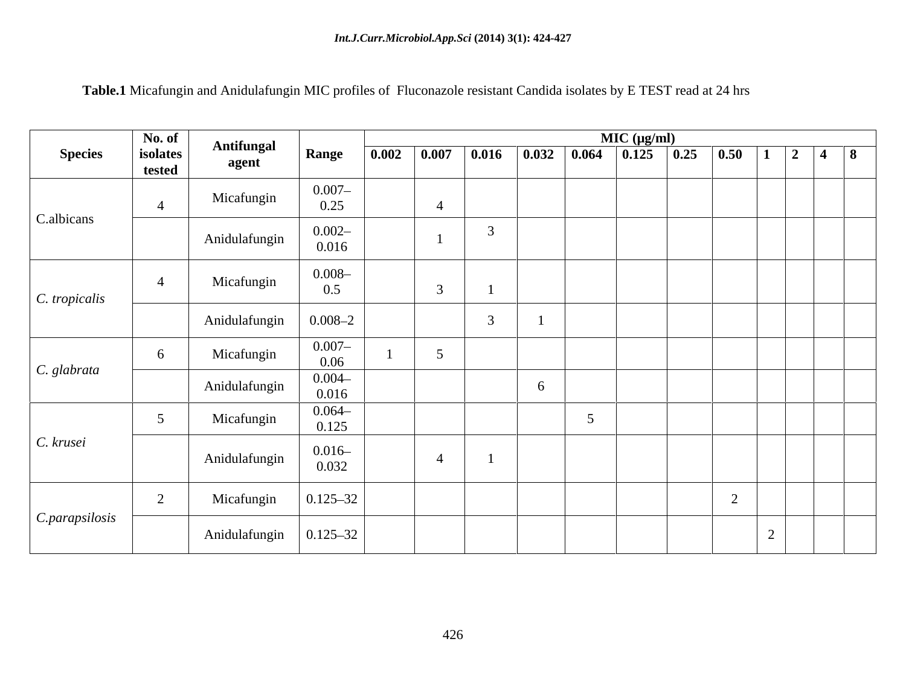| Table.1 Micafungin and Anidulafungin MIC p<br>$\mathbb C$ profiles of Fluconazole resistant Candida isolates by E<br>$\Gamma$ TECT $_{\text{co}}$<br>$\lrcorner$ read at $\lrcorner$<br>: 24 hrs<br>, ല പാറ |
|-------------------------------------------------------------------------------------------------------------------------------------------------------------------------------------------------------------|
|                                                                                                                                                                                                             |

|                              | No. of             | <b>Antifungal</b> |                    |       |                 |                |   | MIC (µg/ml)                                                                          |              |                            |                                                                    |  |  |
|------------------------------|--------------------|-------------------|--------------------|-------|-----------------|----------------|---|--------------------------------------------------------------------------------------|--------------|----------------------------|--------------------------------------------------------------------|--|--|
| <b>Species</b>               | isolates<br>tested | agent             | Range              | 0.002 | 0.007           | 0.016          |   | $\begin{array}{ c c c c c c c c } \hline 0.032 & 0.064 & 0.125 \ \hline \end{array}$ | $\vert$ 0.25 | 0.50                       | $\begin{array}{ c c c c c c }\n\hline\n1 & 2 & 4 & 8\n\end{array}$ |  |  |
|                              |                    | Micafungin        | $0.007 -$          |       |                 |                |   |                                                                                      |              |                            |                                                                    |  |  |
| C.albicans                   | $\overline{4}$     |                   | 0.25               |       | $\overline{4}$  |                |   |                                                                                      |              |                            |                                                                    |  |  |
|                              |                    | Anidulafungin     | $0.002 -$<br>0.016 |       |                 | 3              |   |                                                                                      |              |                            |                                                                    |  |  |
| $\mathcal C$ . tropicalis    | $\overline{4}$     | Micafungin        | $0.008 -$<br>0.5   |       | $\overline{3}$  | $\overline{1}$ |   |                                                                                      |              |                            |                                                                    |  |  |
|                              |                    | Anidulafungin     | $0.008 - 2$        |       |                 | $\overline{3}$ |   |                                                                                      |              |                            |                                                                    |  |  |
| C. glabrata                  | 6                  | Micafungin        | $0.007 -$<br>0.06  |       | $5\overline{)}$ |                |   |                                                                                      |              |                            |                                                                    |  |  |
|                              |                    | Anidulafungin     | $0.004 -$<br>0.016 |       |                 |                | 6 |                                                                                      |              |                            |                                                                    |  |  |
|                              | $5\overline{)}$    | Micafungin        | $0.064 -$<br>0.125 |       |                 |                |   | $\overline{5}$                                                                       |              |                            |                                                                    |  |  |
| C. krusei                    |                    | Anidulafungin     | $0.016 -$<br>0.032 |       | $\overline{4}$  | $\overline{1}$ |   |                                                                                      |              |                            |                                                                    |  |  |
|                              | 2                  | Micafungin        | $0.125 - 32$       |       |                 |                |   |                                                                                      |              | $\gamma$<br>$\overline{2}$ |                                                                    |  |  |
| $\mathcal{C}$ . parapsilosis |                    | Anidulafungin     | $0.125 - 32$       |       |                 |                |   |                                                                                      |              |                            |                                                                    |  |  |